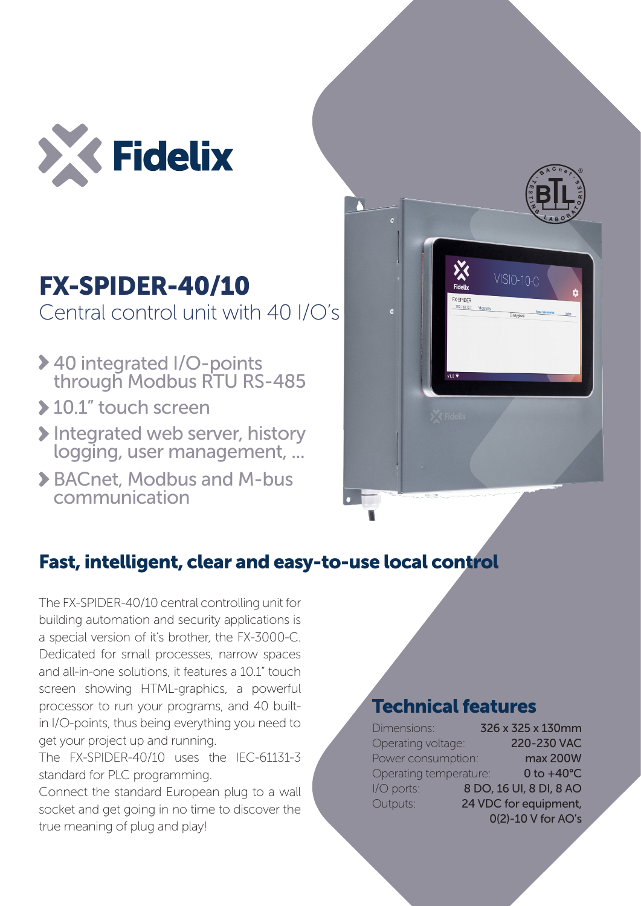

# FX-SPIDER-40/10 Central control unit with 40 I/O's

- 40 integrated I/O-points through Modbus RTU RS-485
- ▶ 10.1" touch screen
- Integrated web server, history logging, user management, ...
- BACnet, Modbus and M-bus communication



# Fast, intelligent, clear and easy-to-use local control

The FX-SPIDER-40/10 central controlling unit for building automation and security applications is a special version of it's brother, the FX-3000-C. Dedicated for small processes, narrow spaces and all-in-one solutions, it features a 10.1" touch screen showing HTML-graphics, a powerful processor to run your programs, and 40 builtin I/O-points, thus being everything you need to get your project up and running.

The FX-SPIDER-40/10 uses the IEC-61131-3 standard for PLC programming.

Connect the standard European plug to a wall socket and get going in no time to discover the true meaning of plug and play!

### Technical features

| Dimensions:            | 326 x 325 x 130mm       |
|------------------------|-------------------------|
| Operating voltage:     | 220-230 VAC             |
| Power consumption:     | max 200W                |
| Operating temperature: | $0$ to $+40^{\circ}$ C  |
| I/O ports:             | 8 DO, 16 UI, 8 DI, 8 AO |
| Outputs:               | 24 VDC for equipment,   |
|                        | 0(2)-10 V for AO's      |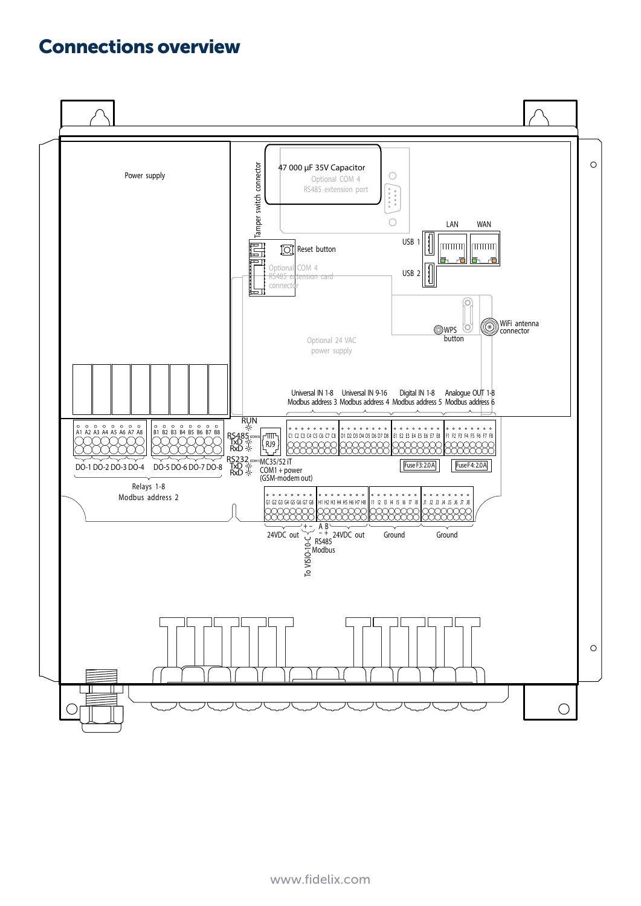#### Connections overview

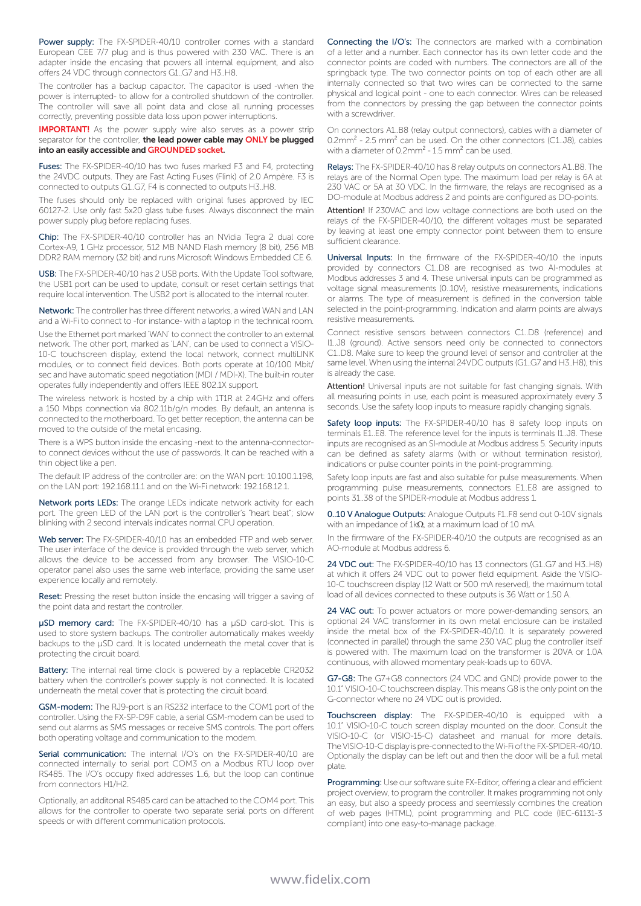Power supply: The FX-SPIDER-40/10 controller comes with a standard European CEE 7/7 plug and is thus powered with 230 VAC. There is an adapter inside the encasing that powers all internal equipment, and also offers 24 VDC through connectors G1..G7 and H3..H8.

The controller has a backup capacitor. The capacitor is used -when the power is interrupted- to allow for a controlled shutdown of the controller. The controller will save all point data and close all running processes correctly, preventing possible data loss upon power interruptions.

**IMPORTANT!** As the power supply wire also serves as a power strip separator for the controller, the lead power cable may ONLY be plugged into an easily accessible and GROUNDED socket.

Fuses: The FX-SPIDER-40/10 has two fuses marked F3 and F4, protecting the 24VDC outputs. They are Fast Acting Fuses (Flink) of 2.0 Ampère. F3 is connected to outputs G1..G7, F4 is connected to outputs H3..H8.

The fuses should only be replaced with original fuses approved by IEC 60127-2. Use only fast 5x20 glass tube fuses. Always disconnect the main power supply plug before replacing fuses.

Chip: The FX-SPIDER-40/10 controller has an NVidia Tegra 2 dual core Cortex-A9, 1 GHz processor, 512 MB NAND Flash memory (8 bit), 256 MB DDR2 RAM memory (32 bit) and runs Microsoft Windows Embedded CE 6.

USB: The FX-SPIDER-40/10 has 2 USB ports. With the Update Tool software, the USB1 port can be used to update, consult or reset certain settings that require local intervention. The USB2 port is allocated to the internal router.

Network: The controller has three different networks, a wired WAN and LAN and a Wi-Fi to connect to -for instance- with a laptop in the technical room.

Use the Ethernet port marked 'WAN' to connect the controller to an external network. The other port, marked as 'LAN', can be used to connect a VISIO-10-C touchscreen display, extend the local network, connect multiLINK modules, or to connect field devices. Both ports operate at 10/100 Mbit/ sec and have automatic speed negotiation (MDI / MDI-X). The built-in router operates fully independently and offers IEEE 802.1X support.

The wireless network is hosted by a chip with 1T1R at 2.4GHz and offers a 150 Mbps connection via 802.11b/g/n modes. By default, an antenna is connected to the motherboard. To get better reception, the antenna can be moved to the outside of the metal encasing.

There is a WPS button inside the encasing -next to the antenna-connectorto connect devices without the use of passwords. It can be reached with a thin object like a pen.

The default IP address of the controller are: on the WAN port: 10.100.1.198, on the LAN port: 192.168.11.1 and on the Wi-Fi network: 192.168.12.1.

Network ports LEDs: The orange LEDs indicate network activity for each port. The green LED of the LAN port is the controller's "heart beat"; slow blinking with 2 second intervals indicates normal CPU operation.

Web server: The FX-SPIDER-40/10 has an embedded FTP and web server. The user interface of the device is provided through the web server, which allows the device to be accessed from any browser. The VISIO-10-C operator panel also uses the same web interface, providing the same user experience locally and remotely.

Reset: Pressing the reset button inside the encasing will trigger a saving of the point data and restart the controller.

µSD memory card: The FX-SPIDER-40/10 has a µSD card-slot. This is used to store system backups. The controller automatically makes weekly backups to the µSD card. It is located underneath the metal cover that is protecting the circuit board.

Battery: The internal real time clock is powered by a replaceble CR2032 battery when the controller's power supply is not connected. It is located underneath the metal cover that is protecting the circuit board.

GSM-modem: The RJ9-port is an RS232 interface to the COM1 port of the controller. Using the FX-SP-D9F cable, a serial GSM-modem can be used to send out alarms as SMS messages or receive SMS controls. The port offers both operating voltage and communication to the modem.

Serial communication: The internal I/O's on the FX-SPIDER-40/10 are connected internally to serial port COM3 on a Modbus RTU loop over RS485. The I/O's occupy fixed addresses 1..6, but the loop can continue from connectors H1/H2.

Optionally, an additonal RS485 card can be attached to the COM4 port. This allows for the controller to operate two separate serial ports on different speeds or with different communication protocols.

Connecting the I/O's: The connectors are marked with a combination of a letter and a number. Each connector has its own letter code and the connector points are coded with numbers. The connectors are all of the springback type. The two connector points on top of each other are all internally connected so that two wires can be connected to the same physical and logical point - one to each connector. Wires can be released from the connectors by pressing the gap between the connector points with a screwdriver.

On connectors A1..B8 (relay output connectors), cables with a diameter of  $0.2$ mm<sup>2</sup> - 2.5 mm<sup>2</sup> can be used. On the other connectors (C1..J8), cables with a diameter of 0.2mm<sup>2</sup> - 1.5 mm<sup>2</sup> can be used.

Relays: The FX-SPIDER-40/10 has 8 relay outputs on connectors A1..B8. The relays are of the Normal Open type. The maximum load per relay is 6A at 230 VAC or 5A at 30 VDC. In the firmware, the relays are recognised as a DO-module at Modbus address 2 and points are configured as DO-points.

Attention! If 230VAC and low voltage connections are both used on the relays of the FX-SPIDER-40/10, the different voltages must be separated by leaving at least one empty connector point between them to ensure sufficient clearance.

Universal Inputs: In the firmware of the FX-SPIDER-40/10 the inputs provided by connectors C1..D8 are recognised as two AI-modules at Modbus addresses 3 and 4. These universal inputs can be programmed as voltage signal measurements (0..10V), resistive measurements, indications or alarms. The type of measurement is defined in the conversion table selected in the point-programming. Indication and alarm points are always resistive measurements.

Connect resistive sensors between connectors C1..D8 (reference) and I1..J8 (ground). Active sensors need only be connected to connectors C1..D8. Make sure to keep the ground level of sensor and controller at the same level. When using the internal 24VDC outputs (G1..G7 and H3..H8), this is already the case.

Attention! Universal inputs are not suitable for fast changing signals. With all measuring points in use, each point is measured approximately every 3 seconds. Use the safety loop inputs to measure rapidly changing signals.

Safety loop inputs: The FX-SPIDER-40/10 has 8 safety loop inputs on terminals E1..E8. The reference level for the inputs is terminals I1..J8. These inputs are recognised as an SI-module at Modbus address 5. Security inputs can be defined as safety alarms (with or without termination resistor), indications or pulse counter points in the point-programming.

Safety loop inputs are fast and also suitable for pulse measurements. When programming pulse measurements, connectors E1..E8 are assigned to points 31..38 of the SPIDER-module at Modbus address 1.

0..10 V Analogue Outputs: Analogue Outputs F1..F8 send out 0-10V signals with an impedance of 1kΩ, at a maximum load of 10 mA.

In the firmware of the FX-SPIDER-40/10 the outputs are recognised as an AO-module at Modbus address 6.

24 VDC out: The FX-SPIDER-40/10 has 13 connectors (G1..G7 and H3..H8) at which it offers 24 VDC out to power field equipment. Aside the VISIO-10-C touchscreen display (12 Watt or 500 mA reserved), the maximum total load of all devices connected to these outputs is 36 Watt or 1.50 A.

24 VAC out: To power actuators or more power-demanding sensors, an optional 24 VAC transformer in its own metal enclosure can be installed inside the metal box of the FX-SPIDER-40/10. It is separately powered (connected in parallel) through the same 230 VAC plug the controller itself is powered with. The maximum load on the transformer is 20VA or 1.0A continuous, with allowed momentary peak-loads up to 60VA.

G7-G8: The G7+G8 connectors (24 VDC and GND) provide power to the 10.1" VISIO-10-C touchscreen display. This means G8 is the only point on the G-connector where no 24 VDC out is provided.

Touchscreen display: The FX-SPIDER-40/10 is equipped with a 10.1" VISIO-10-C touch screen display mounted on the door. Consult the VISIO-10-C (or VISIO-15-C) datasheet and manual for more details. The VISIO-10-C display is pre-connected to the Wi-Fi of the FX-SPIDER-40/10. Optionally the display can be left out and then the door will be a full metal plate.

Programming: Use our software suite FX-Editor, offering a clear and efficient project overview, to program the controller. It makes programming not only an easy, but also a speedy process and seemlessly combines the creation of web pages (HTML), point programming and PLC code (IEC-61131-3 compliant) into one easy-to-manage package.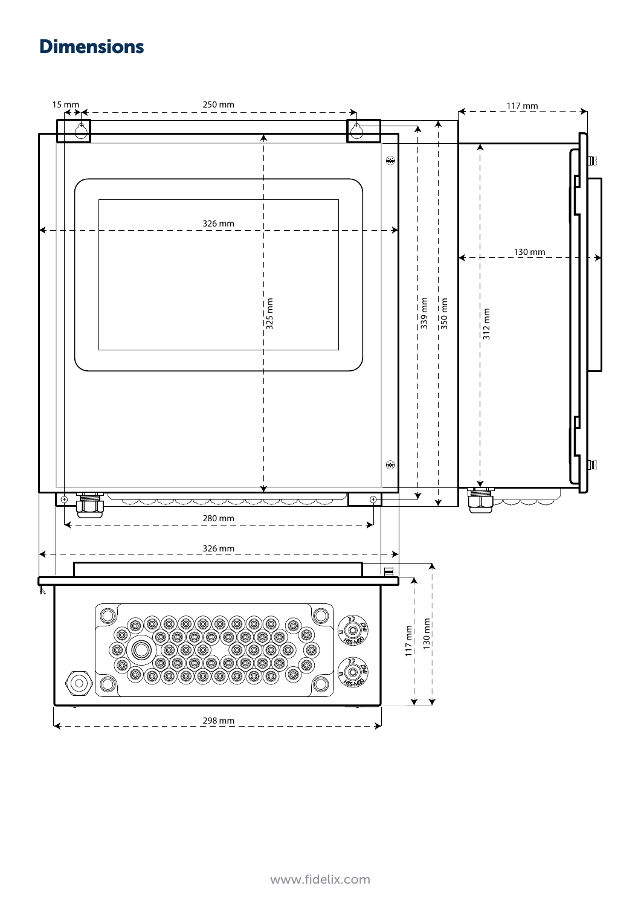## **Dimensions**